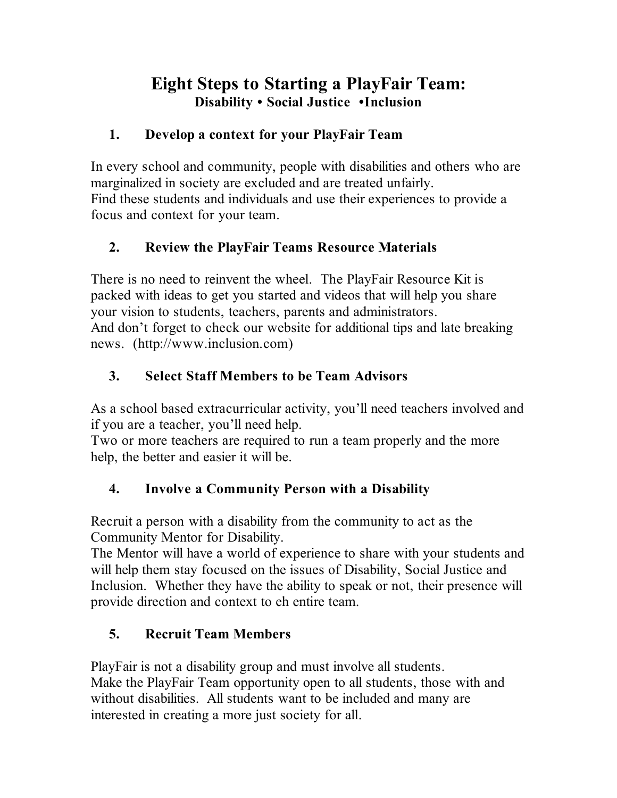# **Eight Steps to Starting a PlayFair Team: Disability • Social Justice •Inclusion**

#### **1. Develop a context for your PlayFair Team**

In every school and community, people with disabilities and others who are marginalized in society are excluded and are treated unfairly. Find these students and individuals and use their experiences to provide a focus and context for your team.

## **2. Review the PlayFair Teams Resource Materials**

There is no need to reinvent the wheel. The PlayFair Resource Kit is packed with ideas to get you started and videos that will help you share your vision to students, teachers, parents and administrators. And don't forget to check our website for additional tips and late breaking news. (http://www.inclusion.com)

## **3. Select Staff Members to be Team Advisors**

As a school based extracurricular activity, you'll need teachers involved and if you are a teacher, you'll need help.

Two or more teachers are required to run a team properly and the more help, the better and easier it will be.

## **4. Involve a Community Person with a Disability**

Recruit a person with a disability from the community to act as the Community Mentor for Disability.

The Mentor will have a world of experience to share with your students and will help them stay focused on the issues of Disability, Social Justice and Inclusion. Whether they have the ability to speak or not, their presence will provide direction and context to eh entire team.

# **5. Recruit Team Members**

PlayFair is not a disability group and must involve all students. Make the PlayFair Team opportunity open to all students, those with and without disabilities. All students want to be included and many are interested in creating a more just society for all.